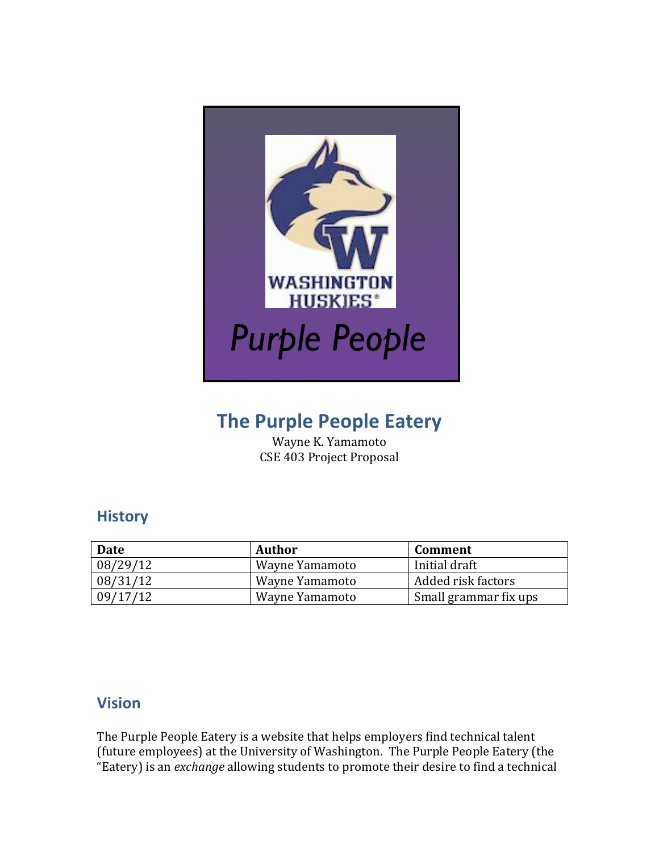

# **The Purple People Eatery**

Wayne K. Yamamoto CSE 403 Project Proposal

## **History**

| Date     | Author         | Comment               |
|----------|----------------|-----------------------|
| 08/29/12 | Wayne Yamamoto | Initial draft         |
| 08/31/12 | Wayne Yamamoto | Added risk factors    |
| 09/17/12 | Wayne Yamamoto | Small grammar fix ups |

### **Vision**

The Purple People Eatery is a website that helps employers find technical talent (future employees) at the University of Washington. The Purple People Eatery (the "Eatery) is an *exchange* allowing students to promote their desire to find a technical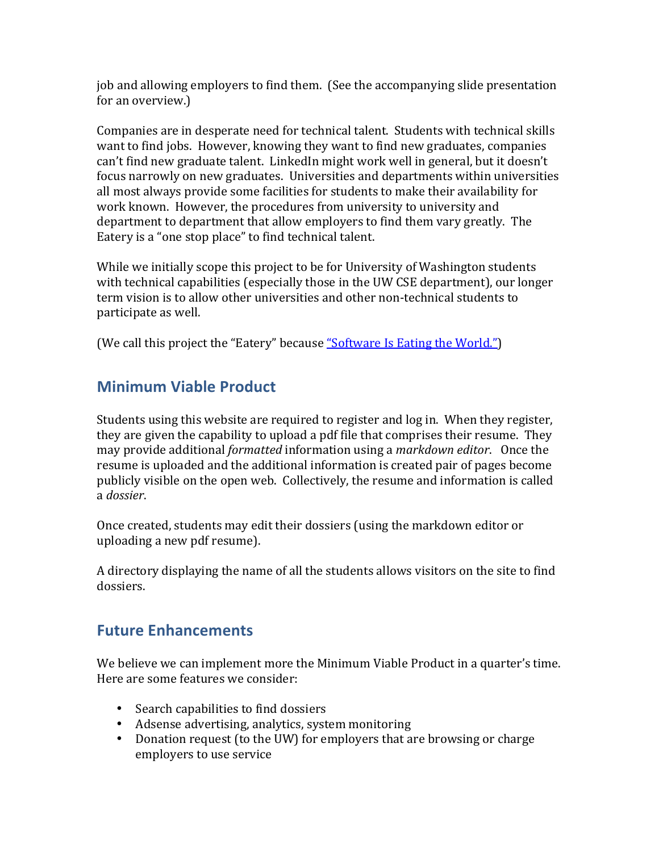job and allowing employers to find them. (See the accompanying slide presentation for an overview.)

Companies are in desperate need for technical talent. Students with technical skills want to find jobs. However, knowing they want to find new graduates, companies can't find new graduate talent. LinkedIn might work well in general, but it doesn't focus narrowly on new graduates. Universities and departments within universities all most always provide some facilities for students to make their availability for work known. However, the procedures from university to university and department to department that allow employers to find them vary greatly. The Eatery is a "one stop place" to find technical talent.

While we initially scope this project to be for University of Washington students with technical capabilities (especially those in the UW CSE department), our longer term vision is to allow other universities and other non-technical students to participate as well.

(We call this project the "Eatery" because <u>"Software Is Eating the World."</u>)

## **Minimum Viable Product**

Students using this website are required to register and log in. When they register, they are given the capability to upload a pdf file that comprises their resume. They may provide additional *formatted* information using a *markdown editor*. Once the resume is uploaded and the additional information is created pair of pages become publicly visible on the open web. Collectively, the resume and information is called a *dossier*.

Once created, students may edit their dossiers (using the markdown editor or uploading a new pdf resume).

A directory displaying the name of all the students allows visitors on the site to find dossiers.

## **Future Enhancements**

We believe we can implement more the Minimum Viable Product in a quarter's time. Here are some features we consider:

- Search capabilities to find dossiers
- Adsense advertising, analytics, system monitoring
- Donation request (to the UW) for employers that are browsing or charge employers to use service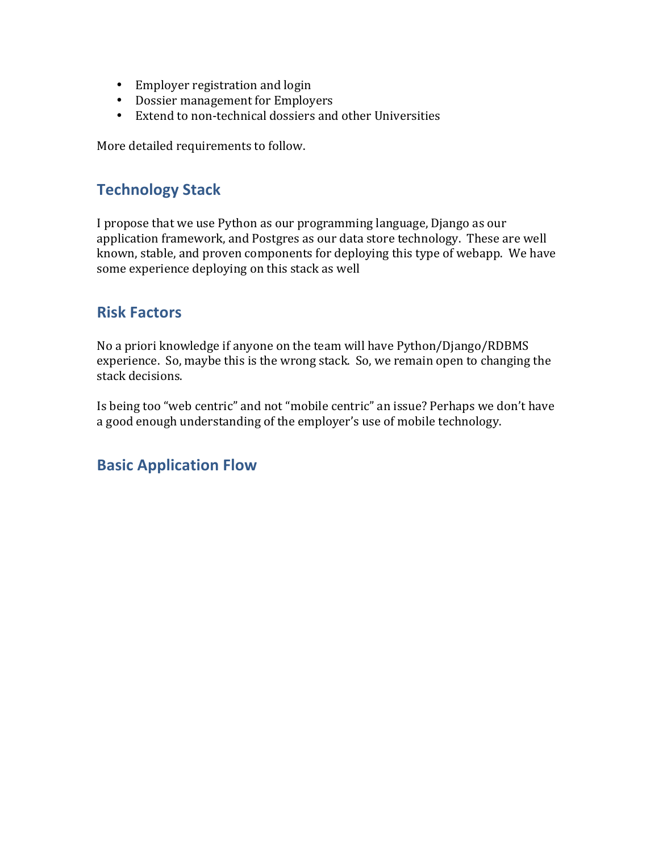- Employer registration and login
- Dossier management for Employers
- Extend to non-technical dossiers and other Universities

More detailed requirements to follow.

### **Technology Stack**

I propose that we use Python as our programming language, Django as our application framework, and Postgres as our data store technology. These are well known, stable, and proven components for deploying this type of webapp. We have some experience deploying on this stack as well

#### **Risk Factors**

No a priori knowledge if anyone on the team will have Python/Django/RDBMS experience. So, maybe this is the wrong stack. So, we remain open to changing the stack decisions.

Is being too "web centric" and not "mobile centric" an issue? Perhaps we don't have a good enough understanding of the employer's use of mobile technology.

#### **Basic Application Flow**